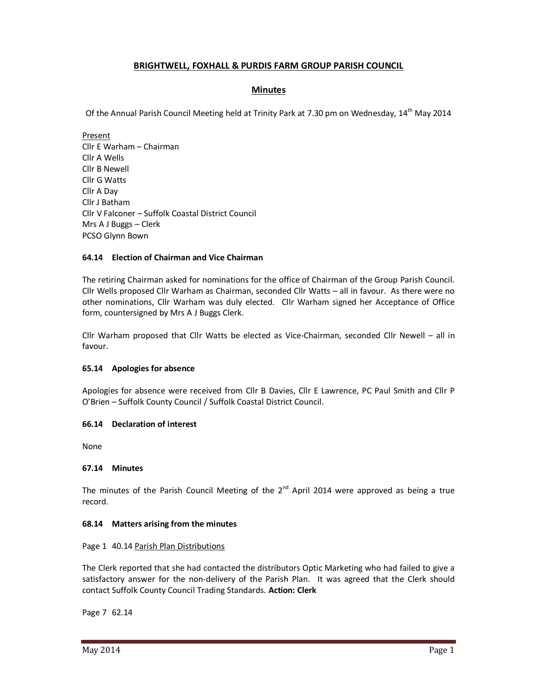# **BRIGHTWELL, FOXHALL & PURDIS FARM GROUP PARISH COUNCIL**

## **Minutes**

Of the Annual Parish Council Meeting held at Trinity Park at 7.30 pm on Wednesday, 14<sup>th</sup> May 2014

Present Cllr E Warham – Chairman Cllr A Wells Cllr B Newell Cllr G Watts Cllr A Day Cllr J Batham Cllr V Falconer – Suffolk Coastal District Council Mrs A J Buggs – Clerk PCSO Glynn Bown

## **64.14 Election of Chairman and Vice Chairman**

The retiring Chairman asked for nominations for the office of Chairman of the Group Parish Council. Cllr Wells proposed Cllr Warham as Chairman, seconded Cllr Watts – all in favour. As there were no other nominations, Cllr Warham was duly elected. Cllr Warham signed her Acceptance of Office form, countersigned by Mrs A J Buggs Clerk.

Cllr Warham proposed that Cllr Watts be elected as Vice-Chairman, seconded Cllr Newell – all in favour.

### **65.14 Apologies for absence**

Apologies for absence were received from Cllr B Davies, Cllr E Lawrence, PC Paul Smith and Cllr P O'Brien – Suffolk County Council / Suffolk Coastal District Council.

### **66.14 Declaration of interest**

None

### **67.14 Minutes**

The minutes of the Parish Council Meeting of the  $2^{nd}$  April 2014 were approved as being a true record.

### **68.14 Matters arising from the minutes**

### Page 1 40.14 Parish Plan Distributions

The Clerk reported that she had contacted the distributors Optic Marketing who had failed to give a satisfactory answer for the non-delivery of the Parish Plan. It was agreed that the Clerk should contact Suffolk County Council Trading Standards. **Action: Clerk** 

Page 7 62.14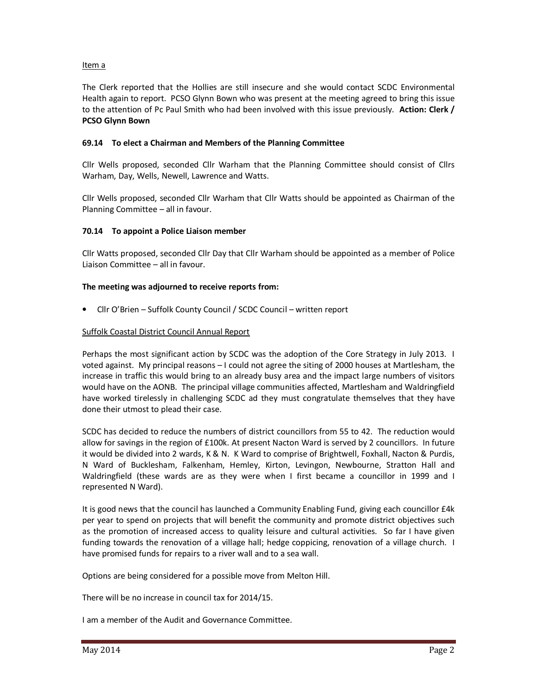## Item a

The Clerk reported that the Hollies are still insecure and she would contact SCDC Environmental Health again to report. PCSO Glynn Bown who was present at the meeting agreed to bring this issue to the attention of Pc Paul Smith who had been involved with this issue previously. **Action: Clerk / PCSO Glynn Bown**

### **69.14 To elect a Chairman and Members of the Planning Committee**

Cllr Wells proposed, seconded Cllr Warham that the Planning Committee should consist of Cllrs Warham, Day, Wells, Newell, Lawrence and Watts.

Cllr Wells proposed, seconded Cllr Warham that Cllr Watts should be appointed as Chairman of the Planning Committee – all in favour.

### **70.14 To appoint a Police Liaison member**

Cllr Watts proposed, seconded Cllr Day that Cllr Warham should be appointed as a member of Police Liaison Committee – all in favour.

### **The meeting was adjourned to receive reports from:**

• Cllr O'Brien – Suffolk County Council / SCDC Council – written report

### Suffolk Coastal District Council Annual Report

Perhaps the most significant action by SCDC was the adoption of the Core Strategy in July 2013. I voted against. My principal reasons – I could not agree the siting of 2000 houses at Martlesham, the increase in traffic this would bring to an already busy area and the impact large numbers of visitors would have on the AONB. The principal village communities affected, Martlesham and Waldringfield have worked tirelessly in challenging SCDC ad they must congratulate themselves that they have done their utmost to plead their case.

SCDC has decided to reduce the numbers of district councillors from 55 to 42. The reduction would allow for savings in the region of £100k. At present Nacton Ward is served by 2 councillors. In future it would be divided into 2 wards, K & N. K Ward to comprise of Brightwell, Foxhall, Nacton & Purdis, N Ward of Bucklesham, Falkenham, Hemley, Kirton, Levingon, Newbourne, Stratton Hall and Waldringfield (these wards are as they were when I first became a councillor in 1999 and I represented N Ward).

It is good news that the council has launched a Community Enabling Fund, giving each councillor £4k per year to spend on projects that will benefit the community and promote district objectives such as the promotion of increased access to quality leisure and cultural activities. So far I have given funding towards the renovation of a village hall; hedge coppicing, renovation of a village church. I have promised funds for repairs to a river wall and to a sea wall.

Options are being considered for a possible move from Melton Hill.

There will be no increase in council tax for 2014/15.

I am a member of the Audit and Governance Committee.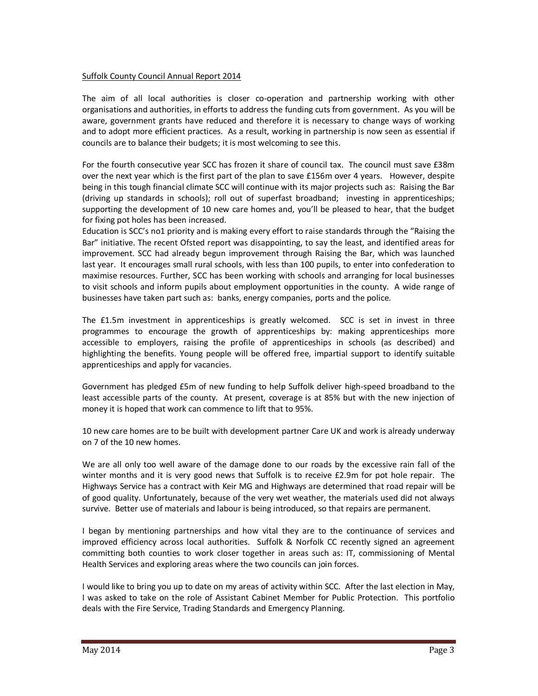### Suffolk County Council Annual Report 2014

The aim of all local authorities is closer co-operation and partnership working with other organisations and authorities, in efforts to address the funding cuts from government. As you will be aware, government grants have reduced and therefore it is necessary to change ways of working and to adopt more efficient practices. As a result, working in partnership is now seen as essential if councils are to balance their budgets; it is most welcoming to see this.

For the fourth consecutive year SCC has frozen it share of council tax. The council must save £38m over the next year which is the first part of the plan to save £156m over 4 years. However, despite being in this tough financial climate SCC will continue with its major projects such as: Raising the Bar (driving up standards in schools); roll out of superfast broadband; investing in apprenticeships; supporting the development of 10 new care homes and, you'll be pleased to hear, that the budget for fixing pot holes has been increased.

Education is SCC's no1 priority and is making every effort to raise standards through the "Raising the Bar" initiative. The recent Ofsted report was disappointing, to say the least, and identified areas for improvement. SCC had already begun improvement through Raising the Bar, which was launched last year. It encourages small rural schools, with less than 100 pupils, to enter into confederation to maximise resources. Further, SCC has been working with schools and arranging for local businesses to visit schools and inform pupils about employment opportunities in the county. A wide range of businesses have taken part such as: banks, energy companies, ports and the police.

The £1.5m investment in apprenticeships is greatly welcomed. SCC is set in invest in three programmes to encourage the growth of apprenticeships by: making apprenticeships more accessible to employers, raising the profile of apprenticeships in schools (as described) and highlighting the benefits. Young people will be offered free, impartial support to identify suitable apprenticeships and apply for vacancies.

Government has pledged £5m of new funding to help Suffolk deliver high-speed broadband to the least accessible parts of the county. At present, coverage is at 85% but with the new injection of money it is hoped that work can commence to lift that to 95%.

10 new care homes are to be built with development partner Care UK and work is already underway on 7 of the 10 new homes.

We are all only too well aware of the damage done to our roads by the excessive rain fall of the winter months and it is very good news that Suffolk is to receive £2.9m for pot hole repair. The Highways Service has a contract with Keir MG and Highways are determined that road repair will be of good quality. Unfortunately, because of the very wet weather, the materials used did not always survive. Better use of materials and labour is being introduced, so that repairs are permanent.

I began by mentioning partnerships and how vital they are to the continuance of services and improved efficiency across local authorities. Suffolk & Norfolk CC recently signed an agreement committing both counties to work closer together in areas such as: IT, commissioning of Mental Health Services and exploring areas where the two councils can join forces.

I would like to bring you up to date on my areas of activity within SCC. After the last election in May, I was asked to take on the role of Assistant Cabinet Member for Public Protection. This portfolio deals with the Fire Service, Trading Standards and Emergency Planning.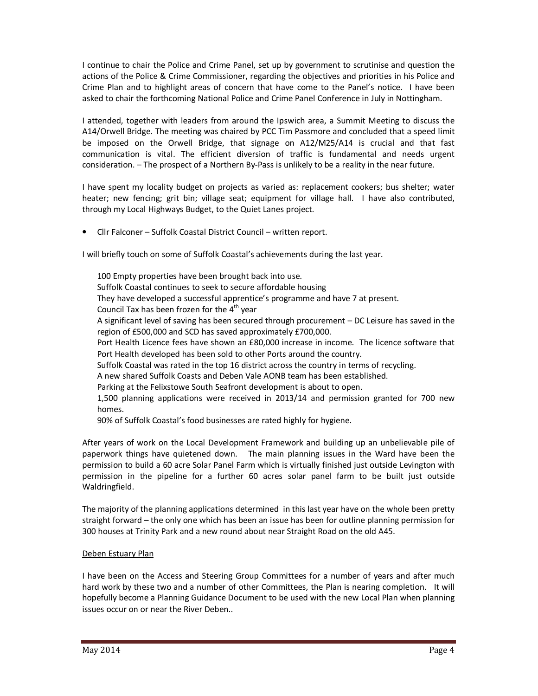I continue to chair the Police and Crime Panel, set up by government to scrutinise and question the actions of the Police & Crime Commissioner, regarding the objectives and priorities in his Police and Crime Plan and to highlight areas of concern that have come to the Panel's notice. I have been asked to chair the forthcoming National Police and Crime Panel Conference in July in Nottingham.

I attended, together with leaders from around the Ipswich area, a Summit Meeting to discuss the A14/Orwell Bridge. The meeting was chaired by PCC Tim Passmore and concluded that a speed limit be imposed on the Orwell Bridge, that signage on A12/M25/A14 is crucial and that fast communication is vital. The efficient diversion of traffic is fundamental and needs urgent consideration. – The prospect of a Northern By-Pass is unlikely to be a reality in the near future.

I have spent my locality budget on projects as varied as: replacement cookers; bus shelter; water heater; new fencing; grit bin; village seat; equipment for village hall. I have also contributed, through my Local Highways Budget, to the Quiet Lanes project.

• Cllr Falconer – Suffolk Coastal District Council – written report.

I will briefly touch on some of Suffolk Coastal's achievements during the last year.

100 Empty properties have been brought back into use. Suffolk Coastal continues to seek to secure affordable housing They have developed a successful apprentice's programme and have 7 at present. Council Tax has been frozen for the  $4<sup>th</sup>$  year A significant level of saving has been secured through procurement – DC Leisure has saved in the region of £500,000 and SCD has saved approximately £700,000. Port Health Licence fees have shown an £80,000 increase in income. The licence software that Port Health developed has been sold to other Ports around the country. Suffolk Coastal was rated in the top 16 district across the country in terms of recycling. A new shared Suffolk Coasts and Deben Vale AONB team has been established. Parking at the Felixstowe South Seafront development is about to open. 1,500 planning applications were received in 2013/14 and permission granted for 700 new homes.

90% of Suffolk Coastal's food businesses are rated highly for hygiene.

After years of work on the Local Development Framework and building up an unbelievable pile of paperwork things have quietened down. The main planning issues in the Ward have been the permission to build a 60 acre Solar Panel Farm which is virtually finished just outside Levington with permission in the pipeline for a further 60 acres solar panel farm to be built just outside Waldringfield.

The majority of the planning applications determined in this last year have on the whole been pretty straight forward – the only one which has been an issue has been for outline planning permission for 300 houses at Trinity Park and a new round about near Straight Road on the old A45.

## Deben Estuary Plan

I have been on the Access and Steering Group Committees for a number of years and after much hard work by these two and a number of other Committees, the Plan is nearing completion. It will hopefully become a Planning Guidance Document to be used with the new Local Plan when planning issues occur on or near the River Deben..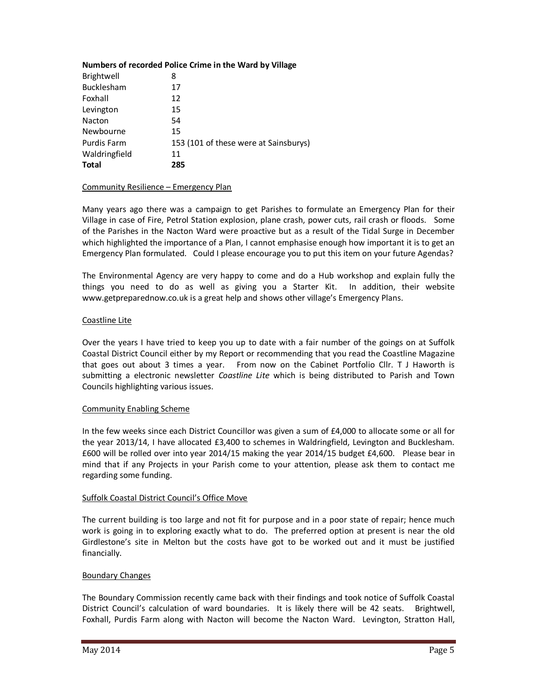### **Numbers of recorded Police Crime in the Ward by Village**

| Brightwell         | 8                                     |
|--------------------|---------------------------------------|
| Bucklesham         | 17                                    |
| Foxhall            | 12                                    |
| Levington          | 15                                    |
| Nacton             | 54                                    |
| Newbourne          | 15                                    |
| <b>Purdis Farm</b> | 153 (101 of these were at Sainsburys) |
| Waldringfield      | 11                                    |
| <b>Total</b>       | 285                                   |

### Community Resilience – Emergency Plan

Many years ago there was a campaign to get Parishes to formulate an Emergency Plan for their Village in case of Fire, Petrol Station explosion, plane crash, power cuts, rail crash or floods. Some of the Parishes in the Nacton Ward were proactive but as a result of the Tidal Surge in December which highlighted the importance of a Plan, I cannot emphasise enough how important it is to get an Emergency Plan formulated. Could I please encourage you to put this item on your future Agendas?

The Environmental Agency are very happy to come and do a Hub workshop and explain fully the things you need to do as well as giving you a Starter Kit. In addition, their website www.getpreparednow.co.uk is a great help and shows other village's Emergency Plans.

#### Coastline Lite

Over the years I have tried to keep you up to date with a fair number of the goings on at Suffolk Coastal District Council either by my Report or recommending that you read the Coastline Magazine that goes out about 3 times a year. From now on the Cabinet Portfolio Cllr. T J Haworth is submitting a electronic newsletter *Coastline Lite* which is being distributed to Parish and Town Councils highlighting various issues.

### Community Enabling Scheme

In the few weeks since each District Councillor was given a sum of £4,000 to allocate some or all for the year 2013/14, I have allocated £3,400 to schemes in Waldringfield, Levington and Bucklesham. £600 will be rolled over into year 2014/15 making the year 2014/15 budget £4,600. Please bear in mind that if any Projects in your Parish come to your attention, please ask them to contact me regarding some funding.

### Suffolk Coastal District Council's Office Move

The current building is too large and not fit for purpose and in a poor state of repair; hence much work is going in to exploring exactly what to do. The preferred option at present is near the old Girdlestone's site in Melton but the costs have got to be worked out and it must be justified financially.

### Boundary Changes

The Boundary Commission recently came back with their findings and took notice of Suffolk Coastal District Council's calculation of ward boundaries. It is likely there will be 42 seats. Brightwell, Foxhall, Purdis Farm along with Nacton will become the Nacton Ward. Levington, Stratton Hall,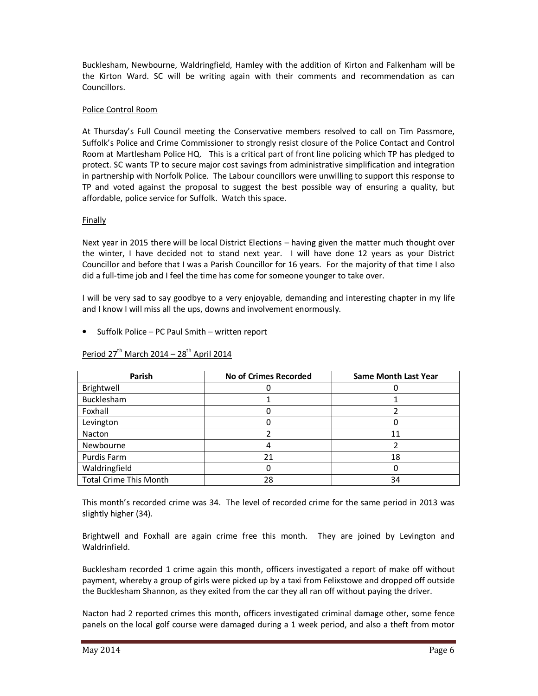Bucklesham, Newbourne, Waldringfield, Hamley with the addition of Kirton and Falkenham will be the Kirton Ward. SC will be writing again with their comments and recommendation as can Councillors.

## Police Control Room

At Thursday's Full Council meeting the Conservative members resolved to call on Tim Passmore, Suffolk's Police and Crime Commissioner to strongly resist closure of the Police Contact and Control Room at Martlesham Police HQ. This is a critical part of front line policing which TP has pledged to protect. SC wants TP to secure major cost savings from administrative simplification and integration in partnership with Norfolk Police. The Labour councillors were unwilling to support this response to TP and voted against the proposal to suggest the best possible way of ensuring a quality, but affordable, police service for Suffolk. Watch this space.

# Finally

Next year in 2015 there will be local District Elections – having given the matter much thought over the winter, I have decided not to stand next year. I will have done 12 years as your District Councillor and before that I was a Parish Councillor for 16 years. For the majority of that time I also did a full-time job and I feel the time has come for someone younger to take over.

I will be very sad to say goodbye to a very enjoyable, demanding and interesting chapter in my life and I know I will miss all the ups, downs and involvement enormously.

• Suffolk Police – PC Paul Smith – written report

| Parish                        | <b>No of Crimes Recorded</b> | <b>Same Month Last Year</b> |
|-------------------------------|------------------------------|-----------------------------|
| Brightwell                    |                              |                             |
| Bucklesham                    |                              |                             |
| Foxhall                       |                              |                             |
| Levington                     |                              |                             |
| <b>Nacton</b>                 |                              | 11                          |
| Newbourne                     |                              |                             |
| Purdis Farm                   | 21                           | 18                          |
| Waldringfield                 |                              |                             |
| <b>Total Crime This Month</b> | 28                           | 34                          |

# Period  $27<sup>th</sup>$  March 2014 –  $28<sup>th</sup>$  April 2014

This month's recorded crime was 34. The level of recorded crime for the same period in 2013 was slightly higher (34).

Brightwell and Foxhall are again crime free this month. They are joined by Levington and Waldrinfield.

Bucklesham recorded 1 crime again this month, officers investigated a report of make off without payment, whereby a group of girls were picked up by a taxi from Felixstowe and dropped off outside the Bucklesham Shannon, as they exited from the car they all ran off without paying the driver.

Nacton had 2 reported crimes this month, officers investigated criminal damage other, some fence panels on the local golf course were damaged during a 1 week period, and also a theft from motor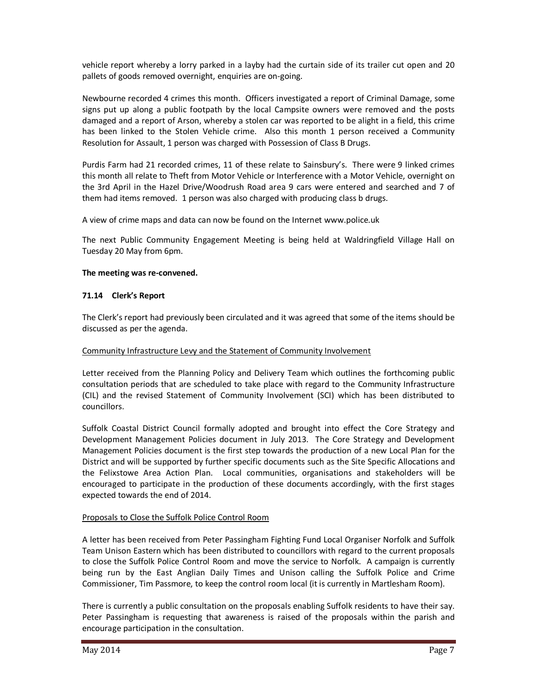vehicle report whereby a lorry parked in a layby had the curtain side of its trailer cut open and 20 pallets of goods removed overnight, enquiries are on-going.

Newbourne recorded 4 crimes this month. Officers investigated a report of Criminal Damage, some signs put up along a public footpath by the local Campsite owners were removed and the posts damaged and a report of Arson, whereby a stolen car was reported to be alight in a field, this crime has been linked to the Stolen Vehicle crime. Also this month 1 person received a Community Resolution for Assault, 1 person was charged with Possession of Class B Drugs.

Purdis Farm had 21 recorded crimes, 11 of these relate to Sainsbury's. There were 9 linked crimes this month all relate to Theft from Motor Vehicle or Interference with a Motor Vehicle, overnight on the 3rd April in the Hazel Drive/Woodrush Road area 9 cars were entered and searched and 7 of them had items removed. 1 person was also charged with producing class b drugs.

A view of crime maps and data can now be found on the Internet www.police.uk

The next Public Community Engagement Meeting is being held at Waldringfield Village Hall on Tuesday 20 May from 6pm.

### **The meeting was re-convened.**

### **71.14 Clerk's Report**

The Clerk's report had previously been circulated and it was agreed that some of the items should be discussed as per the agenda.

### Community Infrastructure Levy and the Statement of Community Involvement

Letter received from the Planning Policy and Delivery Team which outlines the forthcoming public consultation periods that are scheduled to take place with regard to the Community Infrastructure (CIL) and the revised Statement of Community Involvement (SCI) which has been distributed to councillors.

Suffolk Coastal District Council formally adopted and brought into effect the Core Strategy and Development Management Policies document in July 2013. The Core Strategy and Development Management Policies document is the first step towards the production of a new Local Plan for the District and will be supported by further specific documents such as the Site Specific Allocations and the Felixstowe Area Action Plan. Local communities, organisations and stakeholders will be encouraged to participate in the production of these documents accordingly, with the first stages expected towards the end of 2014.

### Proposals to Close the Suffolk Police Control Room

A letter has been received from Peter Passingham Fighting Fund Local Organiser Norfolk and Suffolk Team Unison Eastern which has been distributed to councillors with regard to the current proposals to close the Suffolk Police Control Room and move the service to Norfolk. A campaign is currently being run by the East Anglian Daily Times and Unison calling the Suffolk Police and Crime Commissioner, Tim Passmore, to keep the control room local (it is currently in Martlesham Room).

There is currently a public consultation on the proposals enabling Suffolk residents to have their say. Peter Passingham is requesting that awareness is raised of the proposals within the parish and encourage participation in the consultation.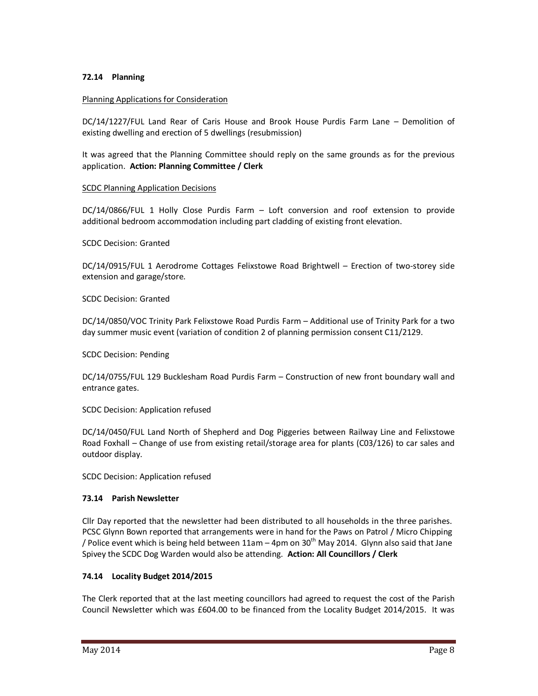## **72.14 Planning**

### Planning Applications for Consideration

DC/14/1227/FUL Land Rear of Caris House and Brook House Purdis Farm Lane – Demolition of existing dwelling and erection of 5 dwellings (resubmission)

It was agreed that the Planning Committee should reply on the same grounds as for the previous application. **Action: Planning Committee / Clerk** 

### SCDC Planning Application Decisions

DC/14/0866/FUL 1 Holly Close Purdis Farm – Loft conversion and roof extension to provide additional bedroom accommodation including part cladding of existing front elevation.

#### SCDC Decision: Granted

DC/14/0915/FUL 1 Aerodrome Cottages Felixstowe Road Brightwell – Erection of two-storey side extension and garage/store.

SCDC Decision: Granted

DC/14/0850/VOC Trinity Park Felixstowe Road Purdis Farm – Additional use of Trinity Park for a two day summer music event (variation of condition 2 of planning permission consent C11/2129.

SCDC Decision: Pending

DC/14/0755/FUL 129 Bucklesham Road Purdis Farm – Construction of new front boundary wall and entrance gates.

SCDC Decision: Application refused

DC/14/0450/FUL Land North of Shepherd and Dog Piggeries between Railway Line and Felixstowe Road Foxhall – Change of use from existing retail/storage area for plants (C03/126) to car sales and outdoor display.

SCDC Decision: Application refused

### **73.14 Parish Newsletter**

Cllr Day reported that the newsletter had been distributed to all households in the three parishes. PCSC Glynn Bown reported that arrangements were in hand for the Paws on Patrol / Micro Chipping / Police event which is being held between  $11$ am – 4pm on  $30<sup>th</sup>$  May 2014. Glynn also said that Jane Spivey the SCDC Dog Warden would also be attending. **Action: All Councillors / Clerk** 

### **74.14 Locality Budget 2014/2015**

The Clerk reported that at the last meeting councillors had agreed to request the cost of the Parish Council Newsletter which was £604.00 to be financed from the Locality Budget 2014/2015. It was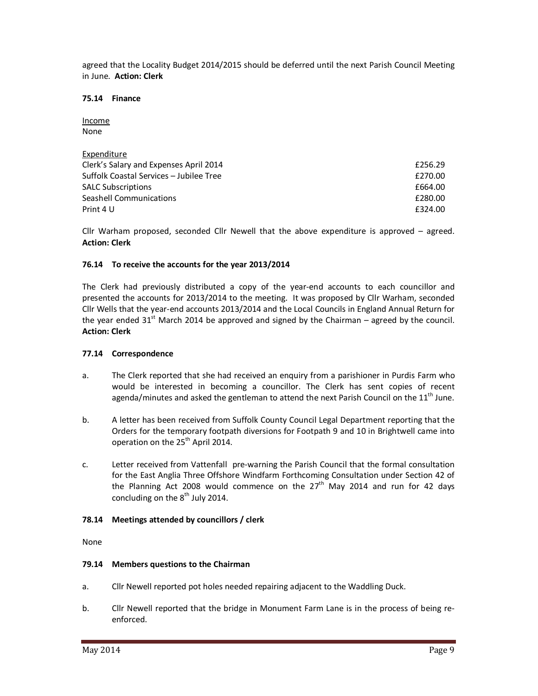agreed that the Locality Budget 2014/2015 should be deferred until the next Parish Council Meeting in June. **Action: Clerk**

### **75.14 Finance**

Income None

| Expenditure                             |         |
|-----------------------------------------|---------|
| Clerk's Salary and Expenses April 2014  | £256.29 |
| Suffolk Coastal Services - Jubilee Tree | £270.00 |
| <b>SALC Subscriptions</b>               | £664.00 |
| Seashell Communications                 | £280.00 |
| Print 4 U                               | £324.00 |

Cllr Warham proposed, seconded Cllr Newell that the above expenditure is approved – agreed. **Action: Clerk** 

### **76.14 To receive the accounts for the year 2013/2014**

The Clerk had previously distributed a copy of the year-end accounts to each councillor and presented the accounts for 2013/2014 to the meeting. It was proposed by Cllr Warham, seconded Cllr Wells that the year-end accounts 2013/2014 and the Local Councils in England Annual Return for the year ended  $31<sup>st</sup>$  March 2014 be approved and signed by the Chairman – agreed by the council. **Action: Clerk** 

### **77.14 Correspondence**

- a. The Clerk reported that she had received an enquiry from a parishioner in Purdis Farm who would be interested in becoming a councillor. The Clerk has sent copies of recent agenda/minutes and asked the gentleman to attend the next Parish Council on the  $11<sup>th</sup>$  June.
- b. A letter has been received from Suffolk County Council Legal Department reporting that the Orders for the temporary footpath diversions for Footpath 9 and 10 in Brightwell came into operation on the 25<sup>th</sup> April 2014.
- c. Letter received from Vattenfall pre-warning the Parish Council that the formal consultation for the East Anglia Three Offshore Windfarm Forthcoming Consultation under Section 42 of the Planning Act 2008 would commence on the  $27<sup>th</sup>$  May 2014 and run for 42 days concluding on the  $8<sup>th</sup>$  July 2014.

### **78.14 Meetings attended by councillors / clerk**

None

### **79.14 Members questions to the Chairman**

- a. Cllr Newell reported pot holes needed repairing adjacent to the Waddling Duck.
- b. Cllr Newell reported that the bridge in Monument Farm Lane is in the process of being reenforced.